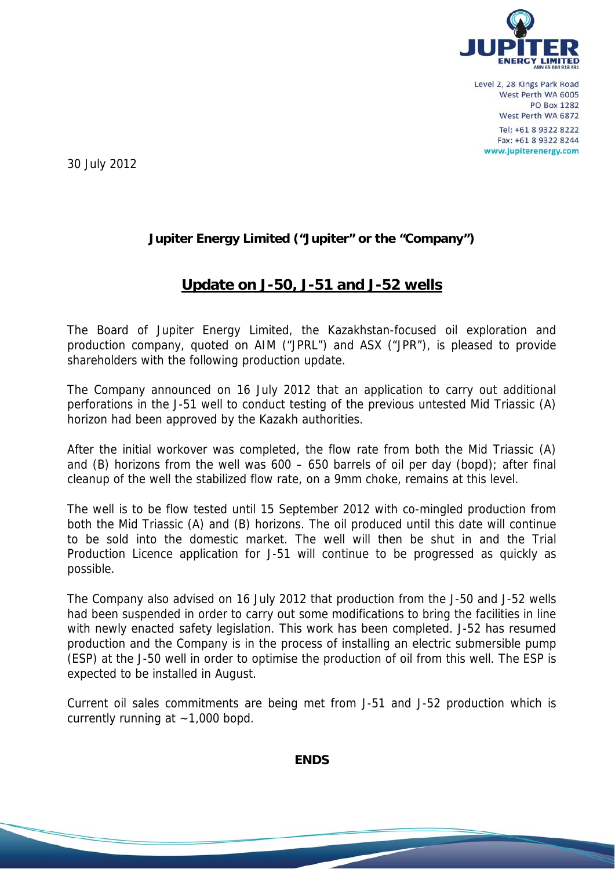

30 July 2012

## **Jupiter Energy Limited ("Jupiter" or the "Company")**

## **Update on J-50, J-51 and J-52 wells**

The Board of Jupiter Energy Limited, the Kazakhstan-focused oil exploration and production company, quoted on AIM ("JPRL") and ASX ("JPR"), is pleased to provide shareholders with the following production update.

The Company announced on 16 July 2012 that an application to carry out additional perforations in the J-51 well to conduct testing of the previous untested Mid Triassic (A) horizon had been approved by the Kazakh authorities.

After the initial workover was completed, the flow rate from both the Mid Triassic (A) and (B) horizons from the well was  $600 - 650$  barrels of oil per day (bopd); after final cleanup of the well the stabilized flow rate, on a 9mm choke, remains at this level.

The well is to be flow tested until 15 September 2012 with co-mingled production from both the Mid Triassic (A) and (B) horizons. The oil produced until this date will continue to be sold into the domestic market. The well will then be shut in and the Trial Production Licence application for J-51 will continue to be progressed as quickly as possible.

The Company also advised on 16 July 2012 that production from the J-50 and J-52 wells had been suspended in order to carry out some modifications to bring the facilities in line with newly enacted safety legislation. This work has been completed. J-52 has resumed production and the Company is in the process of installing an electric submersible pump (ESP) at the J-50 well in order to optimise the production of oil from this well. The ESP is expected to be installed in August.

Current oil sales commitments are being met from J-51 and J-52 production which is currently running at  $\sim$  1,000 bopd.

**ENDS**